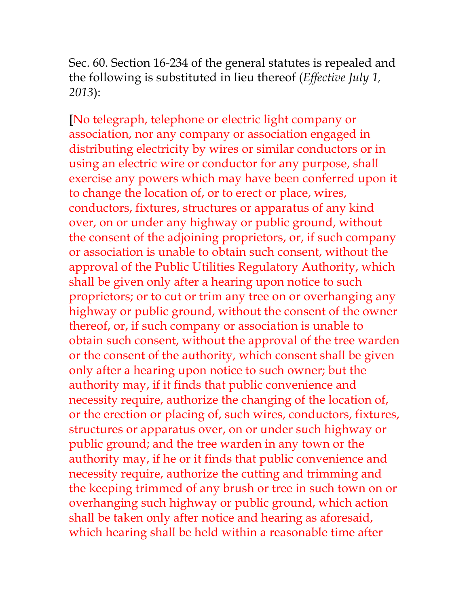Sec. 60. Section 16-234 of the general statutes is repealed and the following is substituted in lieu thereof (*Effective July 1, 2013*):

**[**No telegraph, telephone or electric light company or association, nor any company or association engaged in distributing electricity by wires or similar conductors or in using an electric wire or conductor for any purpose, shall exercise any powers which may have been conferred upon it to change the location of, or to erect or place, wires, conductors, fixtures, structures or apparatus of any kind over, on or under any highway or public ground, without the consent of the adjoining proprietors, or, if such company or association is unable to obtain such consent, without the approval of the Public Utilities Regulatory Authority, which shall be given only after a hearing upon notice to such proprietors; or to cut or trim any tree on or overhanging any highway or public ground, without the consent of the owner thereof, or, if such company or association is unable to obtain such consent, without the approval of the tree warden or the consent of the authority, which consent shall be given only after a hearing upon notice to such owner; but the authority may, if it finds that public convenience and necessity require, authorize the changing of the location of, or the erection or placing of, such wires, conductors, fixtures, structures or apparatus over, on or under such highway or public ground; and the tree warden in any town or the authority may, if he or it finds that public convenience and necessity require, authorize the cutting and trimming and the keeping trimmed of any brush or tree in such town on or overhanging such highway or public ground, which action shall be taken only after notice and hearing as aforesaid, which hearing shall be held within a reasonable time after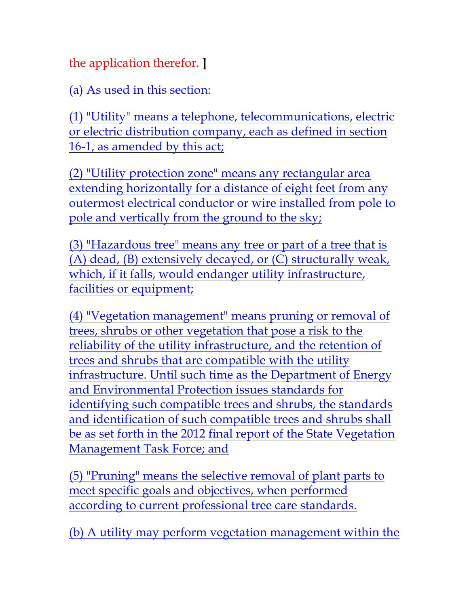the application therefor. **]**

(a) As used in this section:

(1) "Utility" means a telephone, telecommunications, electric or electric distribution company, each as defined in section 16-1, as amended by this act;

(2) "Utility protection zone" means any rectangular area extending horizontally for a distance of eight feet from any outermost electrical conductor or wire installed from pole to pole and vertically from the ground to the sky;

(3) "Hazardous tree" means any tree or part of a tree that is (A) dead, (B) extensively decayed, or (C) structurally weak, which, if it falls, would endanger utility infrastructure, facilities or equipment;

(4) "Vegetation management" means pruning or removal of trees, shrubs or other vegetation that pose a risk to the reliability of the utility infrastructure, and the retention of trees and shrubs that are compatible with the utility infrastructure. Until such time as the Department of Energy and Environmental Protection issues standards for identifying such compatible trees and shrubs, the standards and identification of such compatible trees and shrubs shall be as set forth in the 2012 final report of the State Vegetation Management Task Force; and

(5) "Pruning" means the selective removal of plant parts to meet specific goals and objectives, when performed according to current professional tree care standards.

(b) A utility may perform vegetation management within the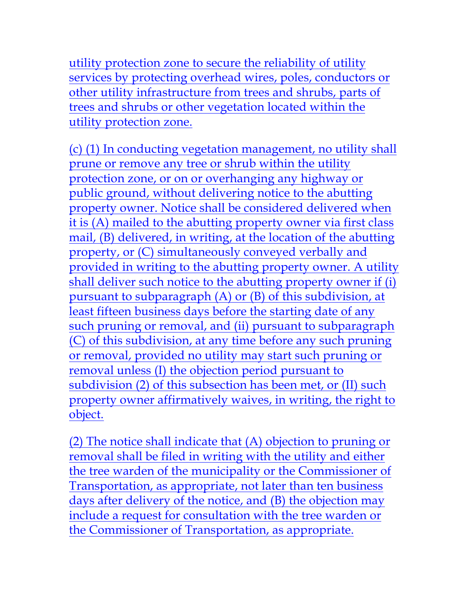utility protection zone to secure the reliability of utility services by protecting overhead wires, poles, conductors or other utility infrastructure from trees and shrubs, parts of trees and shrubs or other vegetation located within the utility protection zone.

(c) (1) In conducting vegetation management, no utility shall prune or remove any tree or shrub within the utility protection zone, or on or overhanging any highway or public ground, without delivering notice to the abutting property owner. Notice shall be considered delivered when it is (A) mailed to the abutting property owner via first class mail, (B) delivered, in writing, at the location of the abutting property, or (C) simultaneously conveyed verbally and provided in writing to the abutting property owner. A utility shall deliver such notice to the abutting property owner if (i) pursuant to subparagraph (A) or (B) of this subdivision, at least fifteen business days before the starting date of any such pruning or removal, and (ii) pursuant to subparagraph (C) of this subdivision, at any time before any such pruning or removal, provided no utility may start such pruning or removal unless (I) the objection period pursuant to subdivision (2) of this subsection has been met, or (II) such property owner affirmatively waives, in writing, the right to object.

(2) The notice shall indicate that (A) objection to pruning or removal shall be filed in writing with the utility and either the tree warden of the municipality or the Commissioner of Transportation, as appropriate, not later than ten business days after delivery of the notice, and (B) the objection may include a request for consultation with the tree warden or the Commissioner of Transportation, as appropriate.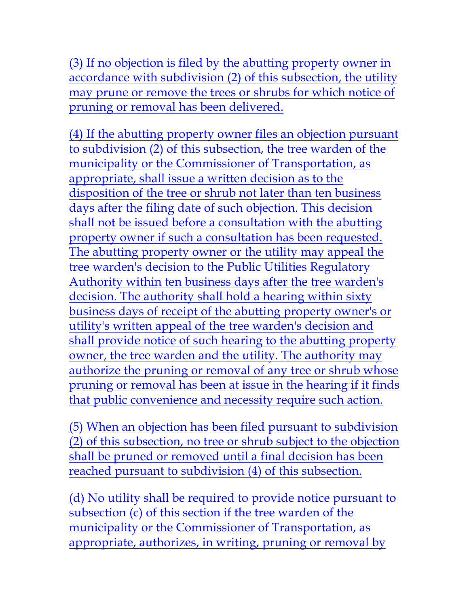(3) If no objection is filed by the abutting property owner in accordance with subdivision (2) of this subsection, the utility may prune or remove the trees or shrubs for which notice of pruning or removal has been delivered.

(4) If the abutting property owner files an objection pursuant to subdivision (2) of this subsection, the tree warden of the municipality or the Commissioner of Transportation, as appropriate, shall issue a written decision as to the disposition of the tree or shrub not later than ten business days after the filing date of such objection. This decision shall not be issued before a consultation with the abutting property owner if such a consultation has been requested. The abutting property owner or the utility may appeal the tree warden's decision to the Public Utilities Regulatory Authority within ten business days after the tree warden's decision. The authority shall hold a hearing within sixty business days of receipt of the abutting property owner's or utility's written appeal of the tree warden's decision and shall provide notice of such hearing to the abutting property owner, the tree warden and the utility. The authority may authorize the pruning or removal of any tree or shrub whose pruning or removal has been at issue in the hearing if it finds that public convenience and necessity require such action.

(5) When an objection has been filed pursuant to subdivision (2) of this subsection, no tree or shrub subject to the objection shall be pruned or removed until a final decision has been reached pursuant to subdivision (4) of this subsection.

(d) No utility shall be required to provide notice pursuant to subsection (c) of this section if the tree warden of the municipality or the Commissioner of Transportation, as appropriate, authorizes, in writing, pruning or removal by